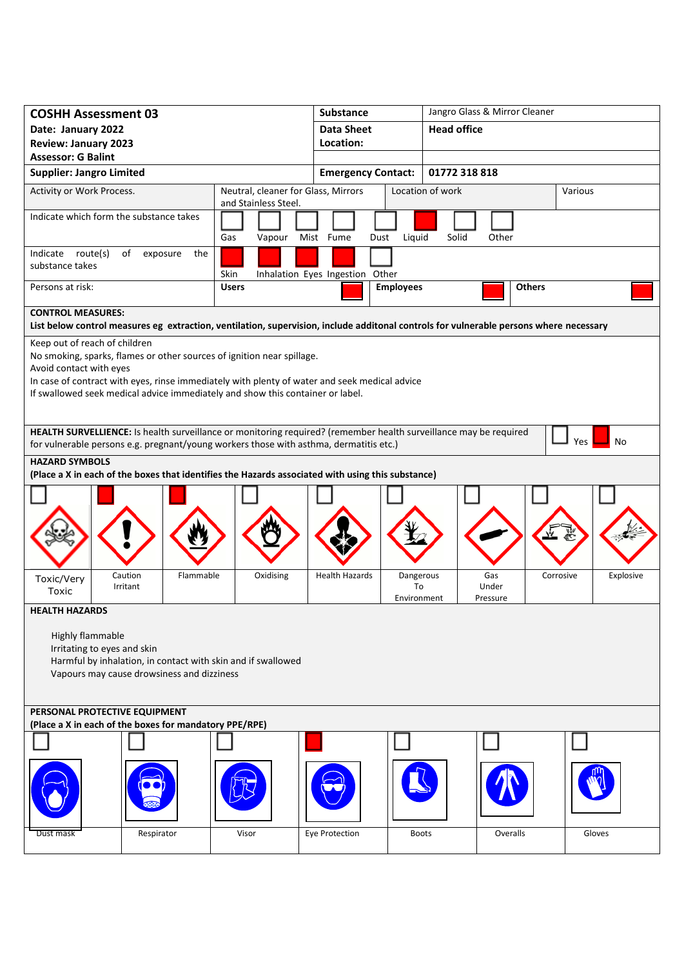| <b>COSHH Assessment 03</b>                                                                                                                                                                                                                                                                                                                                                                                                                 |                                                             | <b>Substance</b>                |                                                            | Jangro Glass & Mirror Cleaner |  |  |
|--------------------------------------------------------------------------------------------------------------------------------------------------------------------------------------------------------------------------------------------------------------------------------------------------------------------------------------------------------------------------------------------------------------------------------------------|-------------------------------------------------------------|---------------------------------|------------------------------------------------------------|-------------------------------|--|--|
| Date: January 2022                                                                                                                                                                                                                                                                                                                                                                                                                         |                                                             | <b>Data Sheet</b>               | <b>Head office</b>                                         |                               |  |  |
| <b>Review: January 2023</b>                                                                                                                                                                                                                                                                                                                                                                                                                |                                                             | Location:                       |                                                            |                               |  |  |
| <b>Assessor: G Balint</b>                                                                                                                                                                                                                                                                                                                                                                                                                  |                                                             |                                 |                                                            |                               |  |  |
| <b>Supplier: Jangro Limited</b>                                                                                                                                                                                                                                                                                                                                                                                                            |                                                             | <b>Emergency Contact:</b>       | 01772 318 818                                              |                               |  |  |
| Activity or Work Process.                                                                                                                                                                                                                                                                                                                                                                                                                  | Neutral, cleaner for Glass, Mirrors<br>and Stainless Steel. |                                 | Location of work                                           | Various                       |  |  |
| Indicate which form the substance takes                                                                                                                                                                                                                                                                                                                                                                                                    | Gas<br>Vapour                                               | Mist Fume<br>Dust               | Liquid<br>Other<br>Solid                                   |                               |  |  |
| Indicate route(s)<br>of<br>exposure<br>the<br>substance takes                                                                                                                                                                                                                                                                                                                                                                              | Skin                                                        | Inhalation Eyes Ingestion Other |                                                            |                               |  |  |
| Persons at risk:                                                                                                                                                                                                                                                                                                                                                                                                                           | <b>Users</b>                                                | <b>Employees</b>                |                                                            | <b>Others</b>                 |  |  |
| <b>CONTROL MEASURES:</b><br>List below control measures eg extraction, ventilation, supervision, include additonal controls for vulnerable persons where necessary                                                                                                                                                                                                                                                                         |                                                             |                                 |                                                            |                               |  |  |
| Keep out of reach of children<br>No smoking, sparks, flames or other sources of ignition near spillage.<br>Avoid contact with eyes<br>In case of contract with eyes, rinse immediately with plenty of water and seek medical advice<br>If swallowed seek medical advice immediately and show this container or label.<br>HEALTH SURVELLIENCE: Is health surveillance or monitoring required? (remember health surveillance may be required |                                                             |                                 |                                                            |                               |  |  |
| <b>Yes</b><br>No<br>for vulnerable persons e.g. pregnant/young workers those with asthma, dermatitis etc.)                                                                                                                                                                                                                                                                                                                                 |                                                             |                                 |                                                            |                               |  |  |
| <b>HAZARD SYMBOLS</b><br>(Place a X in each of the boxes that identifies the Hazards associated with using this substance)                                                                                                                                                                                                                                                                                                                 |                                                             |                                 |                                                            |                               |  |  |
|                                                                                                                                                                                                                                                                                                                                                                                                                                            |                                                             |                                 |                                                            |                               |  |  |
| Caution<br>Flammable<br>Toxic/Very<br>Irritant<br>Toxic                                                                                                                                                                                                                                                                                                                                                                                    | Oxidising                                                   | <b>Health Hazards</b>           | Gas<br>Dangerous<br>To<br>Under<br>Environment<br>Pressure | Explosive<br>Corrosive        |  |  |
| <b>HEALTH HAZARDS</b><br><b>Highly flammable</b><br>Irritating to eyes and skin<br>Harmful by inhalation, in contact with skin and if swallowed<br>Vapours may cause drowsiness and dizziness                                                                                                                                                                                                                                              |                                                             |                                 |                                                            |                               |  |  |
| PERSONAL PROTECTIVE EQUIPMENT<br>(Place a X in each of the boxes for mandatory PPE/RPE)                                                                                                                                                                                                                                                                                                                                                    |                                                             |                                 |                                                            |                               |  |  |
|                                                                                                                                                                                                                                                                                                                                                                                                                                            |                                                             |                                 |                                                            |                               |  |  |
| Respirator<br>Dust mask                                                                                                                                                                                                                                                                                                                                                                                                                    | Visor                                                       | Eye Protection                  | Overalls<br><b>Boots</b>                                   | Gloves                        |  |  |